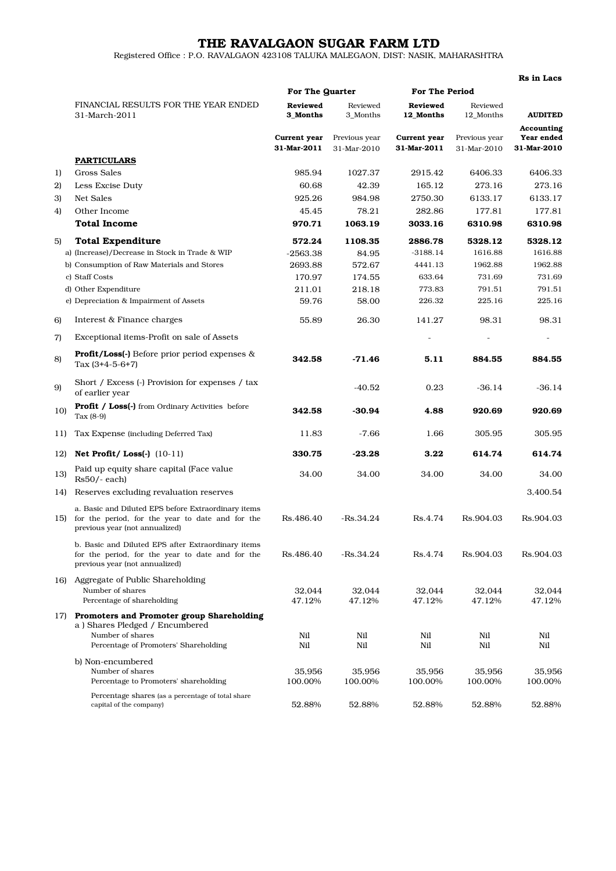## THE RAVALGAON SUGAR FARM LTD

Registered Office : P.O. RAVALGAON 423108 TALUKA MALEGAON, DIST: NASIK, MAHARASHTRA

|     |                                                                                                                                              |                             |                              |                             |                              | Rs in Lacs                              |
|-----|----------------------------------------------------------------------------------------------------------------------------------------------|-----------------------------|------------------------------|-----------------------------|------------------------------|-----------------------------------------|
|     |                                                                                                                                              | For The Quarter             |                              | <b>For The Period</b>       |                              |                                         |
|     | FINANCIAL RESULTS FOR THE YEAR ENDED<br>31-March-2011                                                                                        | <b>Reviewed</b><br>3 Months | Reviewed<br>3 Months         | Reviewed<br>12 Months       | Reviewed<br>12_Months        | <b>AUDITED</b>                          |
|     |                                                                                                                                              | Current year<br>31-Mar-2011 | Previous year<br>31-Mar-2010 | Current year<br>31-Mar-2011 | Previous year<br>31-Mar-2010 | Accounting<br>Year ended<br>31-Mar-2010 |
|     | <b>PARTICULARS</b>                                                                                                                           |                             |                              |                             |                              |                                         |
| 1)  | Gross Sales                                                                                                                                  | 985.94                      | 1027.37                      | 2915.42                     | 6406.33                      | 6406.33                                 |
| 2)  | Less Excise Duty                                                                                                                             | 60.68                       | 42.39                        | 165.12                      | 273.16                       | 273.16                                  |
| 3)  | Net Sales                                                                                                                                    | 925.26                      | 984.98                       | 2750.30                     | 6133.17                      | 6133.17                                 |
| 4)  | Other Income                                                                                                                                 | 45.45                       | 78.21                        | 282.86                      | 177.81                       | 177.81                                  |
|     | <b>Total Income</b>                                                                                                                          | 970.71                      | 1063.19                      | 3033.16                     | 6310.98                      | 6310.98                                 |
| 5)  | <b>Total Expenditure</b>                                                                                                                     | 572.24                      | 1108.35                      | 2886.78                     | 5328.12                      | 5328.12                                 |
|     | a) (Increase)/Decrease in Stock in Trade & WIP                                                                                               | $-2563.38$                  | 84.95                        | $-3188.14$                  | 1616.88                      | 1616.88                                 |
|     | b) Consumption of Raw Materials and Stores                                                                                                   | 2693.88                     | 572.67                       | 4441.13                     | 1962.88                      | 1962.88                                 |
|     | c) Staff Costs                                                                                                                               | 170.97                      | 174.55                       | 633.64                      | 731.69                       | 731.69                                  |
|     | d) Other Expenditure                                                                                                                         | 211.01                      | 218.18                       | 773.83                      | 791.51                       | 791.51                                  |
|     | e) Depreciation & Impairment of Assets                                                                                                       | 59.76                       | 58.00                        | 226.32                      | 225.16                       | 225.16                                  |
| 6)  | Interest & Finance charges                                                                                                                   | 55.89                       | 26.30                        | 141.27                      | 98.31                        | 98.31                                   |
| 7)  | Exceptional items-Profit on sale of Assets                                                                                                   |                             |                              |                             |                              | ÷,                                      |
| 8)  | <b>Profit/Loss(-)</b> Before prior period expenses &<br>Tax $(3+4-5-6+7)$                                                                    | 342.58                      | $-71.46$                     | 5.11                        | 884.55                       | 884.55                                  |
| 9)  | Short / Excess (-) Provision for expenses / tax<br>of earlier year                                                                           |                             | $-40.52$                     | 0.23                        | $-36.14$                     | $-36.14$                                |
| 10) | <b>Profit / Loss(-)</b> from Ordinary Activities before<br>Tax $(8-9)$                                                                       | 342.58                      | $-30.94$                     | 4.88                        | 920.69                       | 920.69                                  |
| 11) | Tax Expense (including Deferred Tax)                                                                                                         | 11.83                       | $-7.66$                      | 1.66                        | 305.95                       | 305.95                                  |
| 12) | Net Profit/Loss(-) (10-11)                                                                                                                   | 330.75                      | $-23.28$                     | 3.22                        | 614.74                       | 614.74                                  |
| 13) | Paid up equity share capital (Face value<br>$Rs50/-$ each)                                                                                   | 34.00                       | 34.00                        | 34.00                       | 34.00                        | 34.00                                   |
| 14) | Reserves excluding revaluation reserves                                                                                                      |                             |                              |                             |                              | 3.400.54                                |
| 15) | a. Basic and Diluted EPS before Extraordinary items<br>for the period, for the year to date and for the<br>previous year (not annualized)    | Rs.486.40                   | $-Rs.34.24$                  | Rs.4.74                     | Rs.904.03                    | Rs.904.03                               |
|     | b. Basic and Diluted EPS after Extraordinary items<br>for the period, for the year to date and for the<br>previous year (not annualized)     | Rs.486.40                   | $-Rs.34.24$                  | Rs.4.74                     | Rs.904.03                    | Rs.904.03                               |
|     | 16) Aggregate of Public Shareholding<br>Number of shares<br>Percentage of shareholding                                                       | 32,044<br>47.12%            | 32,044<br>47.12%             | 32,044<br>47.12%            | 32,044<br>47.12%             | 32,044<br>47.12%                        |
|     | 17) Promoters and Promoter group Shareholding<br>a) Shares Pledged / Encumbered<br>Number of shares<br>Percentage of Promoters' Shareholding | Nil<br>Nil                  | Nil<br>Nil                   | Nil<br>Nil                  | Nil<br>Nil                   | Nil<br>Nil                              |
|     | b) Non-encumbered<br>Number of shares<br>Percentage to Promoters' shareholding                                                               | 35,956<br>100.00%           | 35,956<br>100.00%            | 35,956<br>100.00%           | 35,956<br>100.00%            | 35,956<br>100.00%                       |
|     | Percentage shares (as a percentage of total share<br>capital of the company)                                                                 | 52.88%                      | 52.88%                       | 52.88%                      | 52.88%                       | 52.88%                                  |